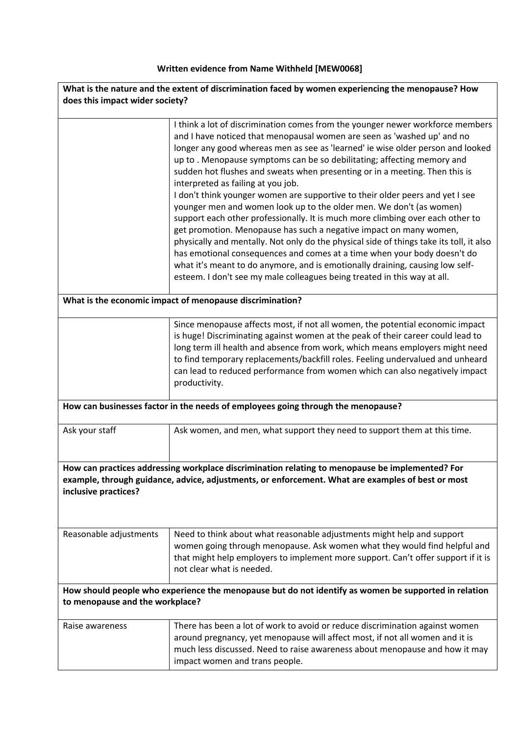## **Written evidence from Name Withheld [MEW0068]**

| What is the nature and the extent of discrimination faced by women experiencing the menopause? How                                                                                                                           |                                                                                                                                                                                                                                                                                                                                                                                                                                                                                                                                                                                                                                                                                                                                                                                                                                                                                                                                                                                                                                                                                                 |
|------------------------------------------------------------------------------------------------------------------------------------------------------------------------------------------------------------------------------|-------------------------------------------------------------------------------------------------------------------------------------------------------------------------------------------------------------------------------------------------------------------------------------------------------------------------------------------------------------------------------------------------------------------------------------------------------------------------------------------------------------------------------------------------------------------------------------------------------------------------------------------------------------------------------------------------------------------------------------------------------------------------------------------------------------------------------------------------------------------------------------------------------------------------------------------------------------------------------------------------------------------------------------------------------------------------------------------------|
| does this impact wider society?                                                                                                                                                                                              |                                                                                                                                                                                                                                                                                                                                                                                                                                                                                                                                                                                                                                                                                                                                                                                                                                                                                                                                                                                                                                                                                                 |
|                                                                                                                                                                                                                              | I think a lot of discrimination comes from the younger newer workforce members<br>and I have noticed that menopausal women are seen as 'washed up' and no<br>longer any good whereas men as see as 'learned' ie wise older person and looked<br>up to. Menopause symptoms can be so debilitating; affecting memory and<br>sudden hot flushes and sweats when presenting or in a meeting. Then this is<br>interpreted as failing at you job.<br>I don't think younger women are supportive to their older peers and yet I see<br>younger men and women look up to the older men. We don't (as women)<br>support each other professionally. It is much more climbing over each other to<br>get promotion. Menopause has such a negative impact on many women,<br>physically and mentally. Not only do the physical side of things take its toll, it also<br>has emotional consequences and comes at a time when your body doesn't do<br>what it's meant to do anymore, and is emotionally draining, causing low self-<br>esteem. I don't see my male colleagues being treated in this way at all. |
| What is the economic impact of menopause discrimination?                                                                                                                                                                     |                                                                                                                                                                                                                                                                                                                                                                                                                                                                                                                                                                                                                                                                                                                                                                                                                                                                                                                                                                                                                                                                                                 |
|                                                                                                                                                                                                                              | Since menopause affects most, if not all women, the potential economic impact<br>is huge! Discriminating against women at the peak of their career could lead to<br>long term ill health and absence from work, which means employers might need<br>to find temporary replacements/backfill roles. Feeling undervalued and unheard<br>can lead to reduced performance from women which can also negatively impact<br>productivity.                                                                                                                                                                                                                                                                                                                                                                                                                                                                                                                                                                                                                                                              |
| How can businesses factor in the needs of employees going through the menopause?                                                                                                                                             |                                                                                                                                                                                                                                                                                                                                                                                                                                                                                                                                                                                                                                                                                                                                                                                                                                                                                                                                                                                                                                                                                                 |
| Ask your staff                                                                                                                                                                                                               | Ask women, and men, what support they need to support them at this time.                                                                                                                                                                                                                                                                                                                                                                                                                                                                                                                                                                                                                                                                                                                                                                                                                                                                                                                                                                                                                        |
| How can practices addressing workplace discrimination relating to menopause be implemented? For<br>example, through guidance, advice, adjustments, or enforcement. What are examples of best or most<br>inclusive practices? |                                                                                                                                                                                                                                                                                                                                                                                                                                                                                                                                                                                                                                                                                                                                                                                                                                                                                                                                                                                                                                                                                                 |
| Reasonable adjustments                                                                                                                                                                                                       | Need to think about what reasonable adjustments might help and support<br>women going through menopause. Ask women what they would find helpful and<br>that might help employers to implement more support. Can't offer support if it is<br>not clear what is needed.                                                                                                                                                                                                                                                                                                                                                                                                                                                                                                                                                                                                                                                                                                                                                                                                                           |
| How should people who experience the menopause but do not identify as women be supported in relation<br>to menopause and the workplace?                                                                                      |                                                                                                                                                                                                                                                                                                                                                                                                                                                                                                                                                                                                                                                                                                                                                                                                                                                                                                                                                                                                                                                                                                 |
| Raise awareness                                                                                                                                                                                                              | There has been a lot of work to avoid or reduce discrimination against women<br>around pregnancy, yet menopause will affect most, if not all women and it is<br>much less discussed. Need to raise awareness about menopause and how it may<br>impact women and trans people.                                                                                                                                                                                                                                                                                                                                                                                                                                                                                                                                                                                                                                                                                                                                                                                                                   |